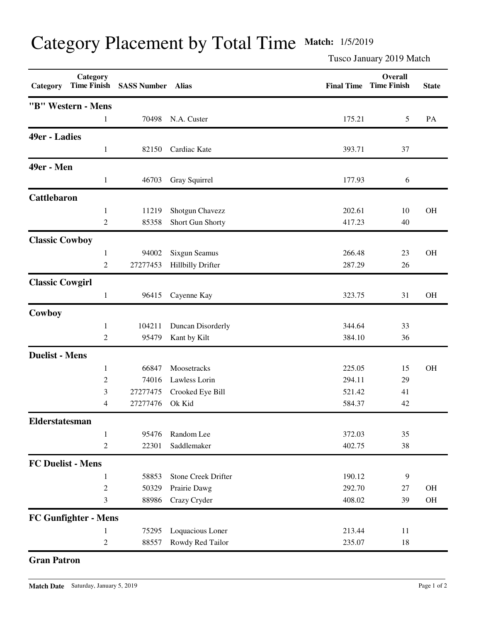## Category Placement by Total Time **Match:** 1/5/2019

Tusco January 2019 Match

| Category                 | Category             | Time Finish SASS Number Alias |                            |        | Overall<br><b>Final Time Time Finish</b> | <b>State</b> |
|--------------------------|----------------------|-------------------------------|----------------------------|--------|------------------------------------------|--------------|
|                          | "B" Western - Mens   |                               |                            |        |                                          |              |
|                          | 1                    | 70498                         | N.A. Custer                | 175.21 | 5                                        | PA           |
| 49er - Ladies            |                      |                               |                            |        |                                          |              |
|                          | 1                    | 82150                         | Cardiac Kate               | 393.71 | 37                                       |              |
| 49er - Men               |                      |                               |                            |        |                                          |              |
|                          | 1                    | 46703                         | Gray Squirrel              | 177.93 | 6                                        |              |
| <b>Cattlebaron</b>       |                      |                               |                            |        |                                          |              |
|                          | $\mathbf{1}$         | 11219                         | Shotgun Chavezz            | 202.61 | 10                                       | <b>OH</b>    |
|                          | $\overline{c}$       | 85358                         | Short Gun Shorty           | 417.23 | 40                                       |              |
| <b>Classic Cowboy</b>    |                      |                               |                            |        |                                          |              |
|                          | 1                    | 94002                         | Sixgun Seamus              | 266.48 | 23                                       | <b>OH</b>    |
|                          | 2                    | 27277453                      | <b>Hillbilly Drifter</b>   | 287.29 | 26                                       |              |
| <b>Classic Cowgirl</b>   |                      |                               |                            |        |                                          |              |
|                          | 1                    | 96415                         | Cayenne Kay                | 323.75 | 31                                       | OH           |
| Cowboy                   |                      |                               |                            |        |                                          |              |
|                          | 1                    | 104211                        | Duncan Disorderly          | 344.64 | 33                                       |              |
|                          | 2                    | 95479                         | Kant by Kilt               | 384.10 | 36                                       |              |
| <b>Duelist - Mens</b>    |                      |                               |                            |        |                                          |              |
|                          | 1                    | 66847                         | Moosetracks                | 225.05 | 15                                       | <b>OH</b>    |
|                          | $\overline{c}$       | 74016                         | Lawless Lorin              | 294.11 | 29                                       |              |
|                          | 3                    | 27277475                      | Crooked Eye Bill           | 521.42 | 41                                       |              |
|                          | 4                    | 27277476                      | Ok Kid                     | 584.37 | 42                                       |              |
| Elderstatesman           |                      |                               |                            |        |                                          |              |
|                          | $\mathbf{1}$         | 95476                         | Random Lee                 | 372.03 | 35                                       |              |
|                          | $\mathfrak{2}$       | 22301                         | Saddlemaker                | 402.75 | 38                                       |              |
| <b>FC Duelist - Mens</b> |                      |                               |                            |        |                                          |              |
|                          | 1                    | 58853                         | <b>Stone Creek Drifter</b> | 190.12 | 9                                        |              |
|                          | $\mathfrak{2}$       | 50329                         | Prairie Dawg               | 292.70 | 27                                       | OH           |
|                          | 3                    | 88986                         | Crazy Cryder               | 408.02 | 39                                       | $\rm OH$     |
|                          | FC Gunfighter - Mens |                               |                            |        |                                          |              |
|                          | 1                    | 75295                         | Loquacious Loner           | 213.44 | 11                                       |              |
|                          | $\boldsymbol{2}$     | 88557                         | Rowdy Red Tailor           | 235.07 | $18\,$                                   |              |

## **Gran Patron**